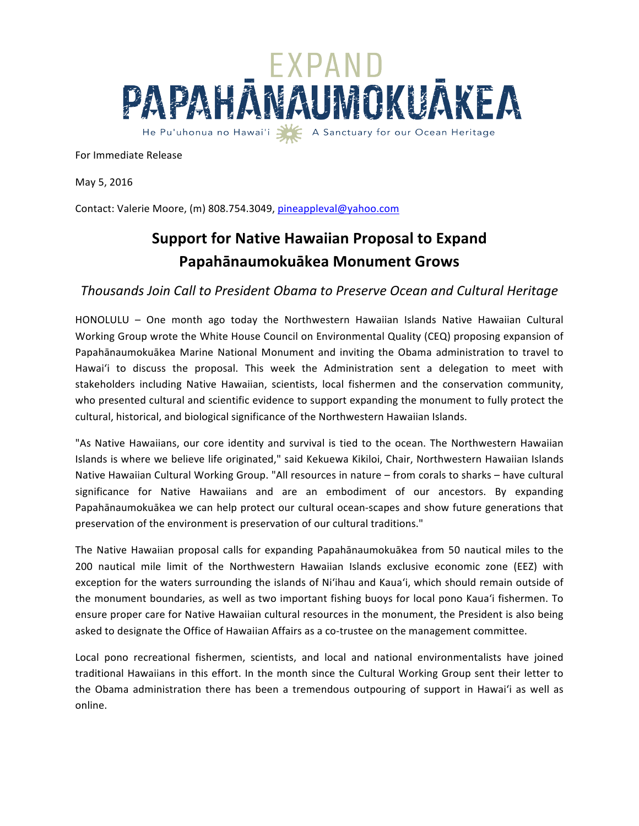

For Immediate Release

May 5, 2016

Contact: Valerie Moore, (m) 808.754.3049, pineappleval@yahoo.com

## **Support for Native Hawaiian Proposal to Expand Papahānaumokuākea Monument Grows**

## *Thousands Join Call to President Obama to Preserve Ocean and Cultural Heritage*

HONOLULU - One month ago today the Northwestern Hawaiian Islands Native Hawaiian Cultural Working Group wrote the White House Council on Environmental Quality (CEQ) proposing expansion of Papahānaumokuākea Marine National Monument and inviting the Obama administration to travel to Hawai'i to discuss the proposal. This week the Administration sent a delegation to meet with stakeholders including Native Hawaiian, scientists, local fishermen and the conservation community, who presented cultural and scientific evidence to support expanding the monument to fully protect the cultural, historical, and biological significance of the Northwestern Hawaiian Islands.

"As Native Hawaiians, our core identity and survival is tied to the ocean. The Northwestern Hawaiian Islands is where we believe life originated," said Kekuewa Kikiloi, Chair, Northwestern Hawaiian Islands Native Hawaiian Cultural Working Group. "All resources in nature – from corals to sharks – have cultural significance for Native Hawaiians and are an embodiment of our ancestors. By expanding Papahānaumokuākea we can help protect our cultural ocean-scapes and show future generations that preservation of the environment is preservation of our cultural traditions."

The Native Hawaiian proposal calls for expanding Papahānaumokuākea from 50 nautical miles to the 200 nautical mile limit of the Northwestern Hawaiian Islands exclusive economic zone (EEZ) with exception for the waters surrounding the islands of Ni'ihau and Kaua'i, which should remain outside of the monument boundaries, as well as two important fishing buoys for local pono Kaua'i fishermen. To ensure proper care for Native Hawaiian cultural resources in the monument, the President is also being asked to designate the Office of Hawaiian Affairs as a co-trustee on the management committee.

Local pono recreational fishermen, scientists, and local and national environmentalists have joined traditional Hawaiians in this effort. In the month since the Cultural Working Group sent their letter to the Obama administration there has been a tremendous outpouring of support in Hawai'i as well as online.